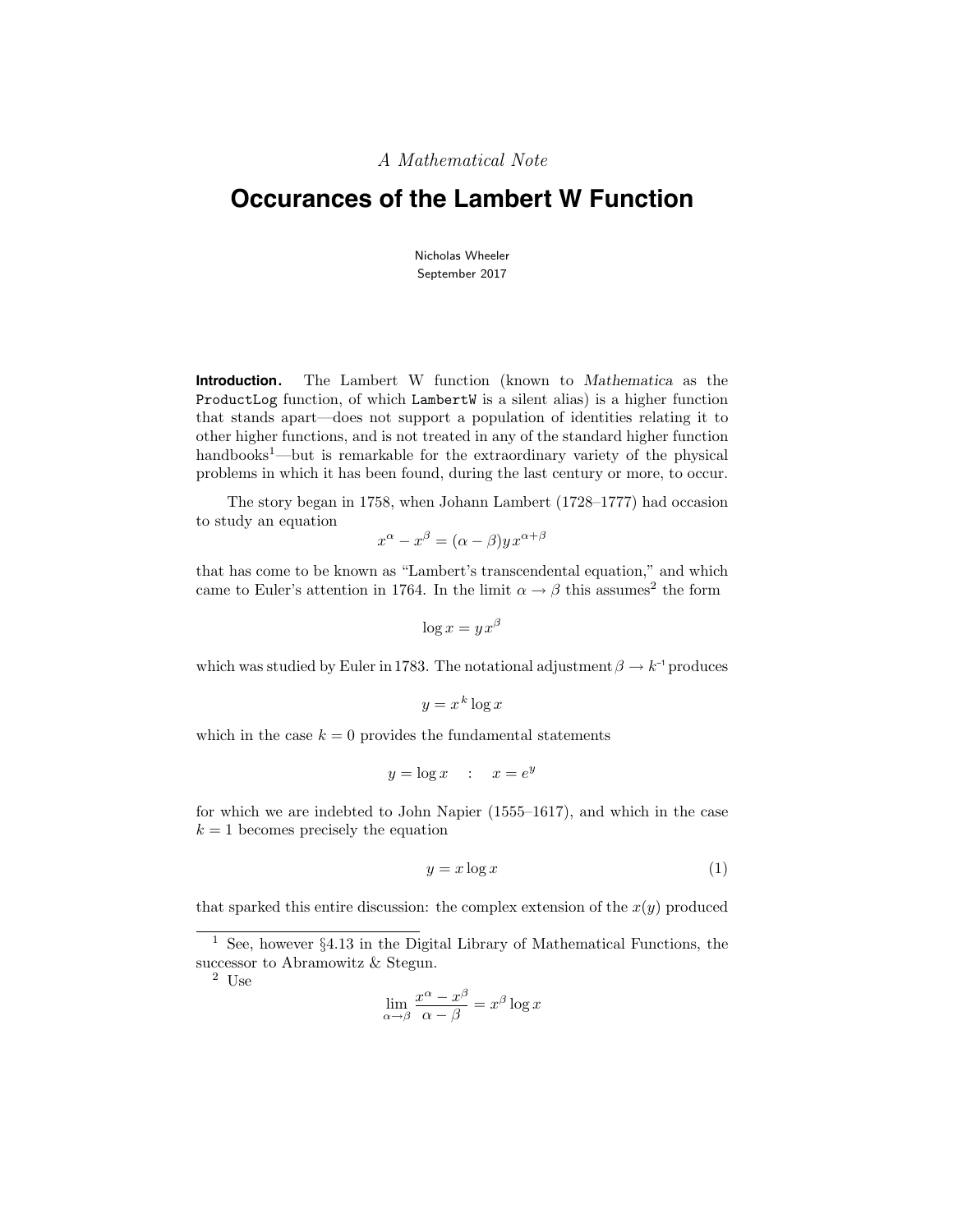A Mathematical Note

# **Occurances of the Lambert W Function**

Nicholas Wheeler September 2017

**Introduction.** The Lambert W function (known to Mathematica as the ProductLog function, of which LambertW is a silent alias) is a higher function that stands apart—does not support a population of identities relating it to other higher functions, and is not treated in any of the standard higher function handbooks<sup>1</sup>—but is remarkable for the extraordinary variety of the physical problems in which it has been found, during the last century or more, to occur.

The story began in 1758, when Johann Lambert (1728–1777) had occasion to study an equation

$$
x^{\alpha} - x^{\beta} = (\alpha - \beta)yx^{\alpha + \beta}
$$

that has come to be known as "Lambert's transcendental equation," and which came to Euler's attention in 1764. In the limit  $\alpha \to \beta$  this assumes<sup>2</sup> the form

$$
\log x = yx^{\beta}
$$

which was studied by Euler in 1783. The notational adjustment  $\beta \rightarrow k^{-1}$  produces

$$
y = x^k \log x
$$

which in the case  $k = 0$  provides the fundamental statements

$$
y = \log x \quad : \quad x = e^y
$$

for which we are indebted to John Napier (1555–1617), and which in the case  $k = 1$  becomes precisely the equation

$$
y = x \log x \tag{1}
$$

that sparked this entire discussion: the complex extension of the  $x(y)$  produced

 $^2\,$  Use

$$
\lim_{\alpha \to \beta} \frac{x^{\alpha} - x^{\beta}}{\alpha - \beta} = x^{\beta} \log x
$$

<sup>&</sup>lt;sup>1</sup> See, however  $\S4.13$  in the Digital Library of Mathematical Functions, the successor to Abramowitz & Stegun.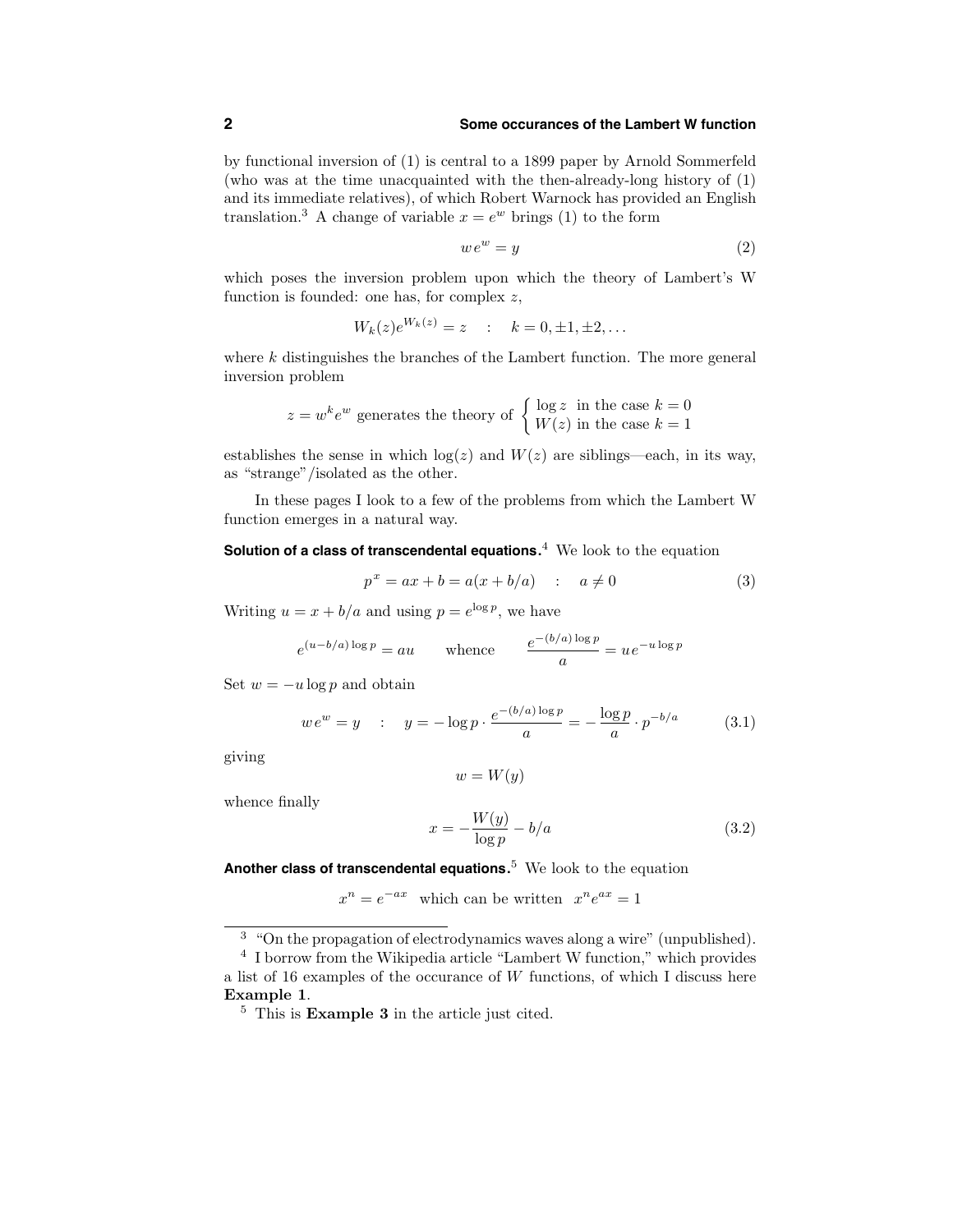#### **2 Some occurances of the Lambert W function**

by functional inversion of (1) is central to a 1899 paper by Arnold Sommerfeld (who was at the time unacquainted with the then-already-long history of (1) and its immediate relatives), of which Robert Warnock has provided an English translation.<sup>3</sup> A change of variable  $x = e^w$  brings (1) to the form

$$
we^w = y \tag{2}
$$

which poses the inversion problem upon which the theory of Lambert's W function is founded: one has, for complex z,

$$
W_k(z)e^{W_k(z)} = z
$$
 :  $k = 0, \pm 1, \pm 2,...$ 

where  $k$  distinguishes the branches of the Lambert function. The more general inversion problem

$$
z = w^k e^w
$$
 generates the theory of  $\begin{cases} \log z & \text{in the case } k = 0\\ W(z) & \text{in the case } k = 1 \end{cases}$ 

establishes the sense in which  $log(z)$  and  $W(z)$  are siblings—each, in its way, as "strange"/isolated as the other.

In these pages I look to a few of the problems from which the Lambert W function emerges in a natural way.

**Solution of a class of transcendental equations.** <sup>4</sup> We look to the equation

$$
p^x = ax + b = a(x + b/a) \quad : \quad a \neq 0 \tag{3}
$$

Writing  $u = x + b/a$  and using  $p = e^{\log p}$ , we have

$$
e^{(u-b/a)\log p} = au
$$
 whence  $\frac{e^{-(b/a)\log p}}{a} = ue^{-u\log p}$ 

Set  $w = -u \log p$  and obtain

$$
we^{w} = y \quad : \quad y = -\log p \cdot \frac{e^{-(b/a)\log p}}{a} = -\frac{\log p}{a} \cdot p^{-b/a} \tag{3.1}
$$

giving

$$
w = W(y)
$$

whence finally

$$
x = -\frac{W(y)}{\log p} - b/a \tag{3.2}
$$

**Another class of transcendental equations.** <sup>5</sup> We look to the equation

 $x^n = e^{-ax}$  which can be written  $x^n e^{ax} = 1$ 

<sup>3</sup> "On the propagation of electrodynamics waves along a wire" (unpublished).

<sup>4</sup> I borrow from the Wikipedia article "Lambert W function," which provides a list of 16 examples of the occurance of W functions, of which I discuss here Example 1.

<sup>5</sup> This is Example 3 in the article just cited.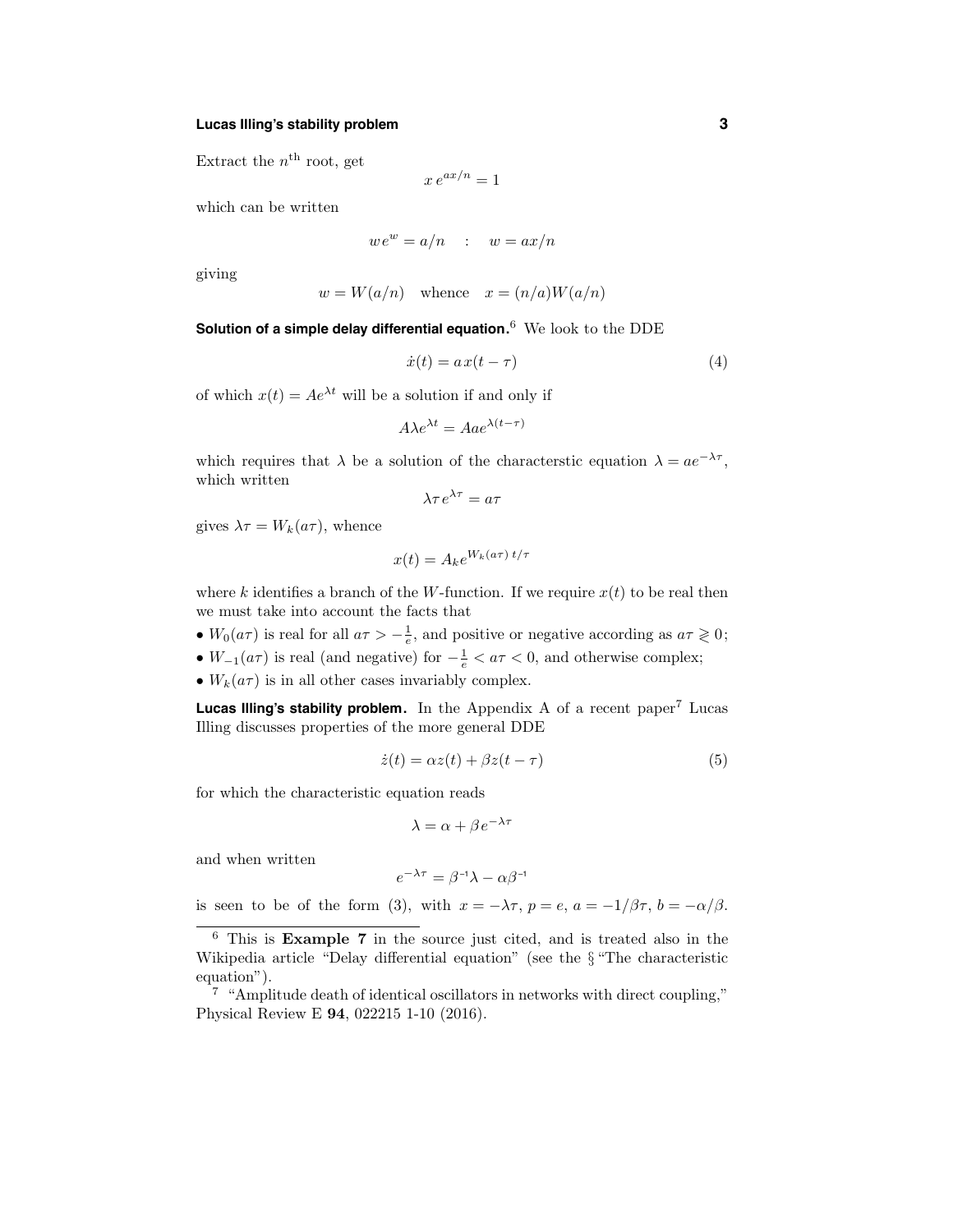## **Lucas Illing's stability problem 3**

Extract the  $n^{\text{th}}$  root, get

$$
x e^{ax/n} = 1
$$

which can be written

$$
we^w = a/n \qquad : \quad w = ax/n
$$

giving

$$
w = W(a/n)
$$
 whence  $x = (n/a)W(a/n)$ 

**Solution of a simple delay differential equation.** <sup>6</sup> We look to the DDE

$$
\dot{x}(t) = ax(t - \tau) \tag{4}
$$

of which  $x(t) = Ae^{\lambda t}$  will be a solution if and only if

$$
A\lambda e^{\lambda t} = Aae^{\lambda(t-\tau)}
$$

which requires that  $\lambda$  be a solution of the characterstic equation  $\lambda = ae^{-\lambda \tau}$ , which written

$$
\lambda \tau e^{\lambda \tau} = a \tau
$$

gives  $\lambda \tau = W_k(a\tau)$ , whence

$$
x(t) = A_k e^{W_k(a\tau) t/\tau}
$$

where k identifies a branch of the W-function. If we require  $x(t)$  to be real then we must take into account the facts that

•  $W_0(a\tau)$  is real for all  $a\tau > -\frac{1}{e}$ , and positive or negative according as  $a\tau \geq 0$ ;

•  $W_{-1}(a\tau)$  is real (and negative) for  $-\frac{1}{e} < a\tau < 0$ , and otherwise complex;

•  $W_k(a\tau)$  is in all other cases invariably complex.

**Lucas Illing's stability problem.** In the Appendix A of a recent paper<sup>7</sup> Lucas Illing discusses properties of the more general DDE

$$
\dot{z}(t) = \alpha z(t) + \beta z(t - \tau) \tag{5}
$$

for which the characteristic equation reads

$$
\lambda = \alpha + \beta e^{-\lambda \tau}
$$

and when written

$$
e^{-\lambda \tau} = \beta^{-1} \lambda - \alpha \beta^{-1}
$$

is seen to be of the form (3), with  $x = -\lambda \tau$ ,  $p = e$ ,  $a = -1/\beta \tau$ ,  $b = -\alpha/\beta$ .

<sup>6</sup> This is Example 7 in the source just cited, and is treated also in the Wikipedia article "Delay differential equation" (see the § "The characteristic equation").

 $7 \text{ "Amplitude death of identical oscillators in networks with direct coupling."}$ Physical Review E 94, 022215 1-10 (2016).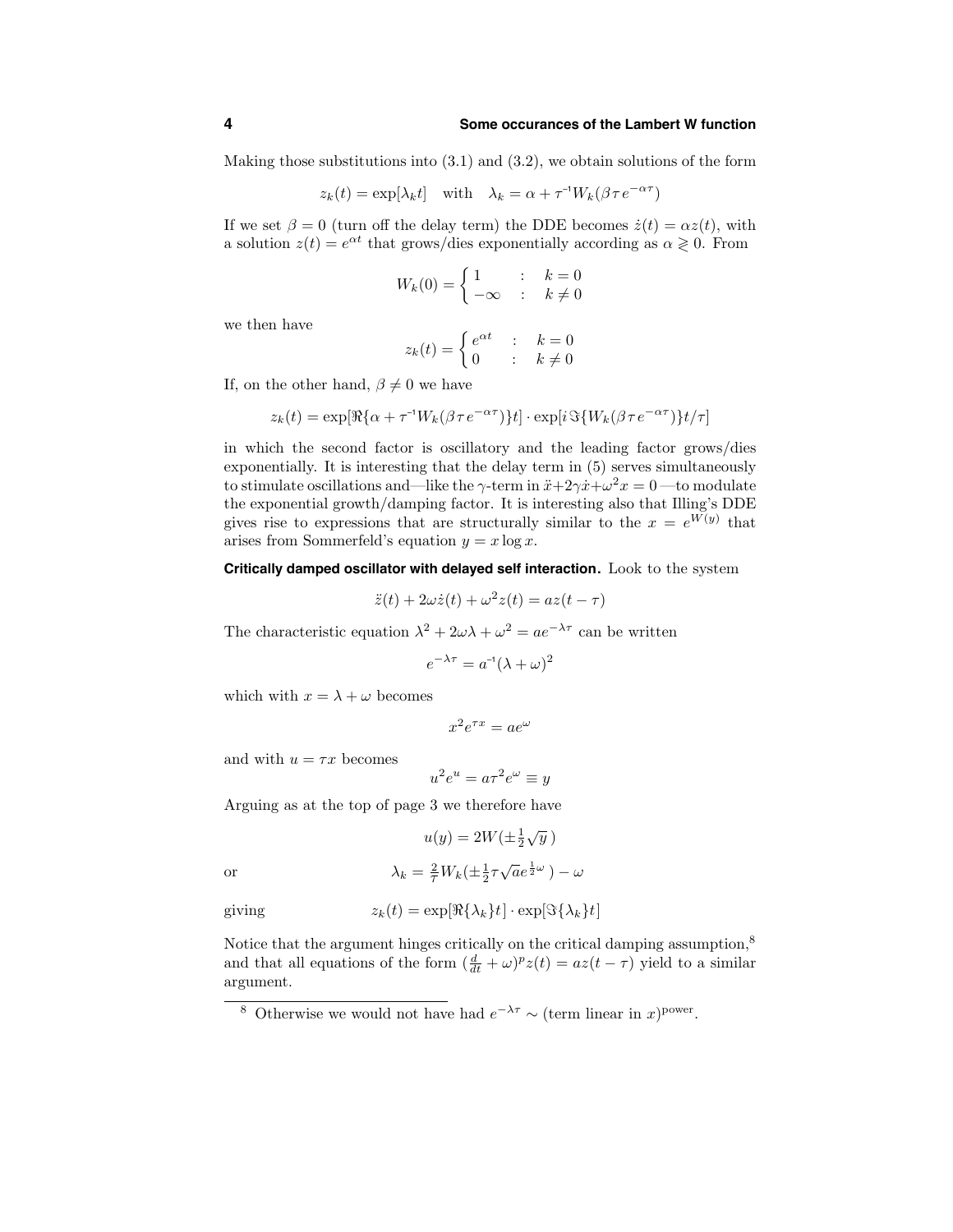#### **4 Some occurances of the Lambert W function**

Making those substitutions into (3.1) and (3.2), we obtain solutions of the form

$$
z_k(t) = \exp[\lambda_k t]
$$
 with  $\lambda_k = \alpha + \tau^{-1} W_k(\beta \tau e^{-\alpha \tau})$ 

If we set  $\beta = 0$  (turn off the delay term) the DDE becomes  $\dot{z}(t) = \alpha z(t)$ , with a solution  $z(t) = e^{\alpha t}$  that grows/dies exponentially according as  $\alpha \geq 0$ . From

$$
W_k(0) = \begin{cases} 1 & \text{if } k = 0\\ -\infty & \text{if } k \neq 0 \end{cases}
$$

we then have

$$
z_k(t) = \begin{cases} e^{\alpha t} & \text{: } k = 0\\ 0 & \text{: } k \neq 0 \end{cases}
$$

If, on the other hand,  $\beta \neq 0$  we have

$$
z_k(t) = \exp[\Re{\{\alpha + \tau^{-1}W_k(\beta\tau e^{-\alpha\tau})\}t}]\cdot \exp[i\Im{\{W_k(\beta\tau e^{-\alpha\tau})\}t/\tau}]
$$

in which the second factor is oscillatory and the leading factor grows/dies exponentially. It is interesting that the delay term in (5) serves simultaneously to stimulate oscillations and—like the  $\gamma$ -term in  $\ddot{x}+2\gamma\dot{x}+\omega^2x=0$ —to modulate the exponential growth/damping factor. It is interesting also that Illing's DDE gives rise to expressions that are structurally similar to the  $x = e^{W(y)}$  that arises from Sommerfeld's equation  $y = x \log x$ .

**Critically damped oscillator with delayed self interaction.** Look to the system

$$
\ddot{z}(t) + 2\omega \dot{z}(t) + \omega^2 z(t) = az(t - \tau)
$$

The characteristic equation  $\lambda^2 + 2\omega\lambda + \omega^2 = ae^{-\lambda\tau}$  can be written

$$
e^{-\lambda \tau} = a^{-1}(\lambda + \omega)^2
$$

which with  $x = \lambda + \omega$  becomes

$$
x^2 e^{\tau x} = a e^\omega
$$

and with  $u = \tau x$  becomes

$$
u^2e^u = a\tau^2e^\omega \equiv y
$$

Arguing as at the top of page 3 we therefore have

$$
u(y) = 2W(\pm \frac{1}{2}\sqrt{y})
$$
  
or  

$$
\lambda_k = \frac{2}{\tau}W_k(\pm \frac{1}{2}\tau\sqrt{a}e^{\frac{1}{2}\omega}) - \omega
$$

giving 
$$
z_k(t) = \exp[\Re\{\lambda_k\}t] \cdot \exp[\Im\{\lambda_k\}t]
$$

Notice that the argument hinges critically on the critical damping assumption,<sup>8</sup> and that all equations of the form  $(\frac{d}{dt} + \omega)^p z(t) = az(t - \tau)$  yield to a similar argument.

<sup>&</sup>lt;sup>8</sup> Otherwise we would not have had  $e^{-\lambda \tau} \sim (\text{term linear in } x)^{\text{power}}$ .